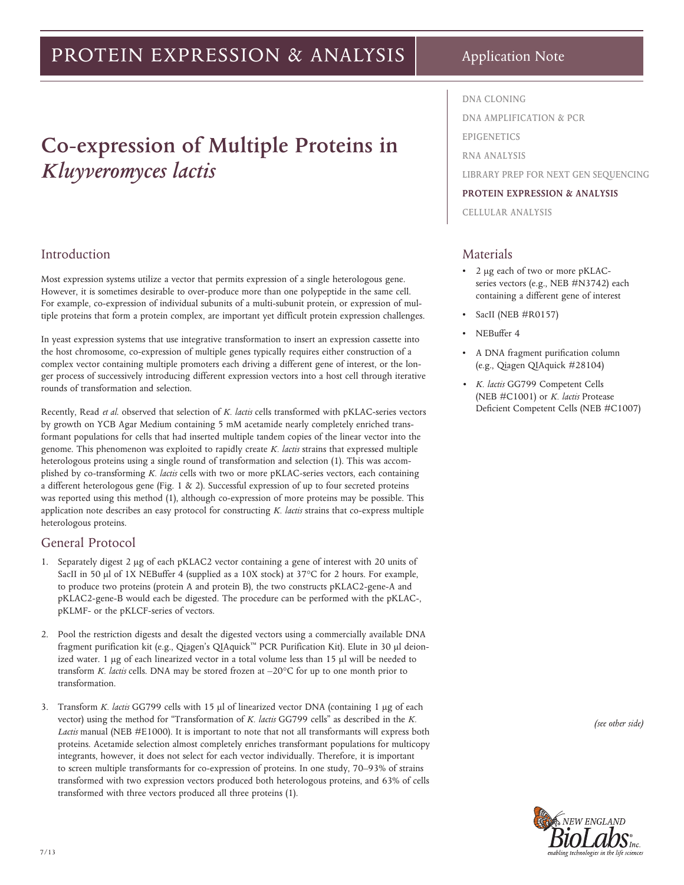# PROTEIN EXPRESSION & ANALYSIS

Application Note

# **Co-expression of Multiple Proteins in**

*Kluyveromyces lactis* 

# Introduction

Most expression systems utilize a vector that permits expression of a single heterologous gene. However, it is sometimes desirable to over-produce more than one polypeptide in the same cell. For example, co-expression of individual subunits of a multi-subunit protein, or expression of multiple proteins that form a protein complex, are important yet difficult protein expression challenges.

In yeast expression systems that use integrative transformation to insert an expression cassette into the host chromosome, co-expression of multiple genes typically requires either construction of a complex vector containing multiple promoters each driving a different gene of interest, or the longer process of successively introducing different expression vectors into a host cell through iterative rounds of transformation and selection.

Recently, Read *et al*. observed that selection of *K. lactis* cells transformed with pKLAC-series vectors by growth on YCB Agar Medium containing 5 mM acetamide nearly completely enriched transformant populations for cells that had inserted multiple tandem copies of the linear vector into the genome. This phenomenon was exploited to rapidly create *K. lactis* strains that expressed multiple heterologous proteins using a single round of transformation and selection (1). This was accomplished by co-transforming *K. lactis* cells with two or more pKLAC-series vectors, each containing a different heterologous gene (Fig. 1 & 2). Successful expression of up to four secreted proteins was reported using this method (1), although co-expression of more proteins may be possible. This application note describes an easy protocol for constructing *K. lactis* strains that co-express multiple heterologous proteins.

# General Protocol

- 1. Separately digest 2 μg of each pKLAC2 vector containing a gene of interest with 20 units of SacII in 50 μl of 1X NEBuffer 4 (supplied as a 10X stock) at 37°C for 2 hours. For example, to produce two proteins (protein A and protein B), the two constructs pKLAC2-gene-A and pKLAC2-gene-B would each be digested. The procedure can be performed with the pKLAC-, pKLMF- or the pKLCF-series of vectors.
- 2. Pool the restriction digests and desalt the digested vectors using a commercially available DNA fragment purification kit (e.g., Qiagen's QIAquick™ PCR Purification Kit). Elute in 30 μl deionized water. 1 μg of each linearized vector in a total volume less than 15 μl will be needed to transform *K. lactis* cells. DNA may be stored frozen at –20°C for up to one month prior to transformation.
- 3. Transform *K. lactis* GG799 cells with 15 μl of linearized vector DNA (containing 1 μg of each vector) using the method for "Transformation of *K. lactis* GG799 cells" as described in the *K.*  Lactis manual (NEB #E1000). It is important to note that not all transformants will express both proteins. Acetamide selection almost completely enriches transformant populations for multicopy integrants, however, it does not select for each vector individually. Therefore, it is important to screen multiple transformants for co-expression of proteins. In one study, 70–93% of strains transformed with two expression vectors produced both heterologous proteins, and 63% of cells transformed with three vectors produced all three proteins (1).

**DNA CLONING**

**DNA AMPLIFICATION & PCR**

**EPIGENETICS**

**RNA ANALYSIS**

**LIBRARY PREP FOR NEXT GEN SEQUENCING**

#### **PROTEIN EXPRESSION & ANALYSIS**

**CELLULAR ANALYSIS**

# Materials

- 2 μg each of two or more pKLACseries vectors (e.g., NEB #N3742) each containing a different gene of interest
- SacII (NEB #R0157)
- NEBuffer 4
- A DNA fragment purification column (e.g., Qiagen QIAquick #28104)
- *• K. lactis* GG799 Competent Cells (NEB #C1001) or *K. lactis* Protease Deficient Competent Cells (NEB #C1007)

*(see other side)*